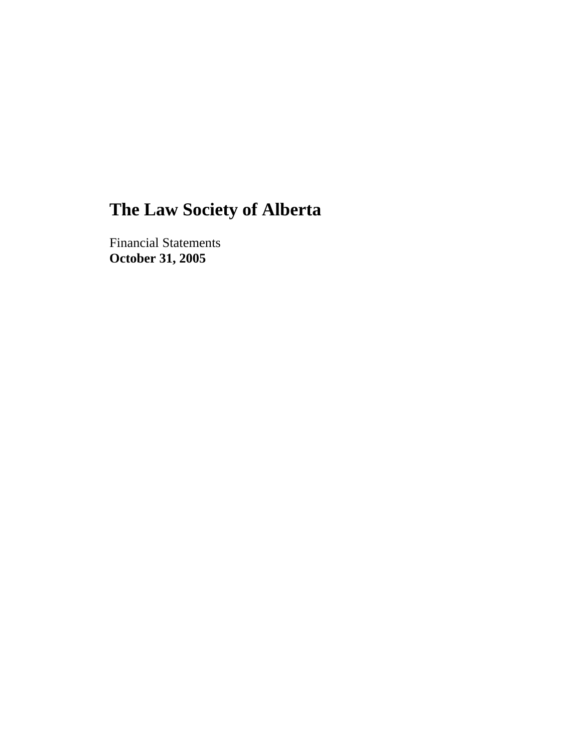Financial Statements **October 31, 2005**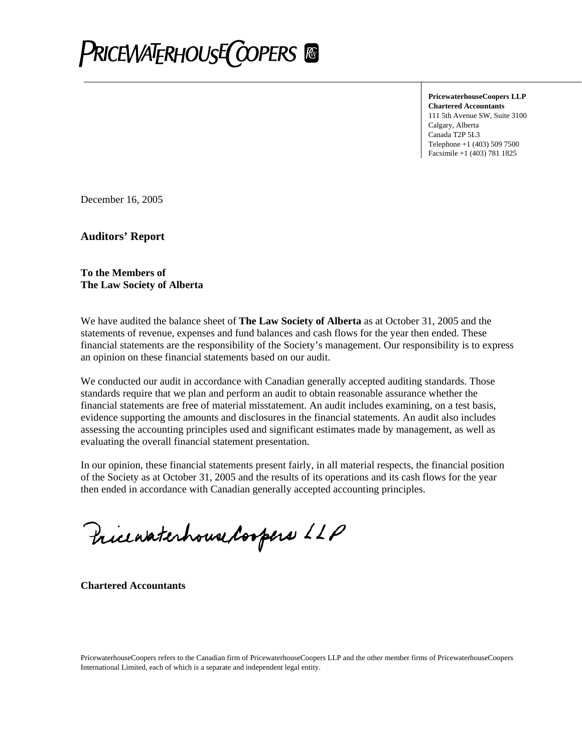

**PricewaterhouseCoopers LLP Chartered Accountants**  111 5th Avenue SW, Suite 3100 Calgary, Alberta Canada T2P 5L3 Telephone +1 (403) 509 7500 Facsimile +1 (403) 781 1825

December 16, 2005

**Auditors' Report** 

#### **To the Members of The Law Society of Alberta**

We have audited the balance sheet of **The Law Society of Alberta** as at October 31, 2005 and the statements of revenue, expenses and fund balances and cash flows for the year then ended. These financial statements are the responsibility of the Society's management. Our responsibility is to express an opinion on these financial statements based on our audit.

We conducted our audit in accordance with Canadian generally accepted auditing standards. Those standards require that we plan and perform an audit to obtain reasonable assurance whether the financial statements are free of material misstatement. An audit includes examining, on a test basis, evidence supporting the amounts and disclosures in the financial statements. An audit also includes assessing the accounting principles used and significant estimates made by management, as well as evaluating the overall financial statement presentation.

In our opinion, these financial statements present fairly, in all material respects, the financial position of the Society as at October 31, 2005 and the results of its operations and its cash flows for the year then ended in accordance with Canadian generally accepted accounting principles.

Pricewaterhouse Coopers LLP

**Chartered Accountants**

PricewaterhouseCoopers refers to the Canadian firm of PricewaterhouseCoopers LLP and the other member firms of PricewaterhouseCoopers International Limited, each of which is a separate and independent legal entity.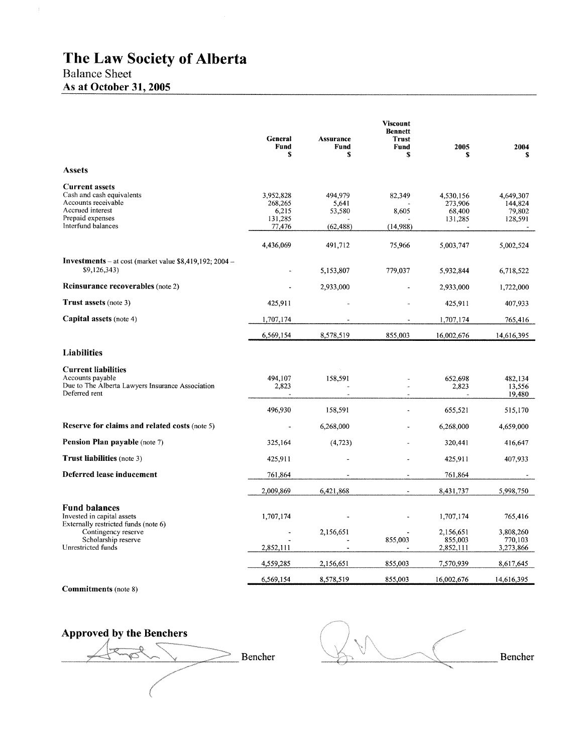# **Balance Sheet**

# As at October 31, 2005

|                                                                                                                                         | General<br>Fund<br>S                               | <b>Assurance</b><br>Fund<br>S           | <b>Viscount</b><br><b>Bennett</b><br><b>Trust</b><br>Fund<br>S | 2005<br>s                                 | 2004<br>s.                                |
|-----------------------------------------------------------------------------------------------------------------------------------------|----------------------------------------------------|-----------------------------------------|----------------------------------------------------------------|-------------------------------------------|-------------------------------------------|
| <b>Assets</b>                                                                                                                           |                                                    |                                         |                                                                |                                           |                                           |
| <b>Current assets</b><br>Cash and cash equivalents<br>Accounts receivable<br>Accrued interest<br>Prepaid expenses<br>Interfund balances | 3.952.828<br>268,265<br>6,215<br>131,285<br>77,476 | 494.979<br>5,641<br>53,580<br>(62, 488) | 82,349<br>8,605<br>(14,988)                                    | 4,530,156<br>273,906<br>68,400<br>131,285 | 4.649.307<br>144,824<br>79,802<br>128,591 |
|                                                                                                                                         | 4,436,069                                          | 491,712                                 | 75,966                                                         | 5,003,747                                 | 5,002,524                                 |
| <b>Investments</b> – at cost (market value \$8,419,192; 2004 –<br>\$9,126,343                                                           |                                                    | 5,153,807                               | 779,037                                                        | 5,932,844                                 | 6,718,522                                 |
| <b>Reinsurance recoverables</b> (note 2)                                                                                                |                                                    | 2,933,000                               |                                                                | 2,933,000                                 | 1,722,000                                 |
| <b>Trust assets (note 3)</b>                                                                                                            | 425,911                                            |                                         |                                                                | 425,911                                   | 407,933                                   |
| Capital assets (note 4)                                                                                                                 | 1,707,174                                          |                                         |                                                                | 1,707,174                                 | 765,416                                   |
|                                                                                                                                         | 6,569,154                                          | 8,578,519                               | 855,003                                                        | 16,002,676                                | 14,616,395                                |
| <b>Liabilities</b>                                                                                                                      |                                                    |                                         |                                                                |                                           |                                           |
| <b>Current liabilities</b><br>Accounts payable<br>Due to The Alberta Lawyers Insurance Association<br>Deferred rent                     | 494,107<br>2,823<br>$\tilde{\phantom{a}}$          | 158,591<br>$\overline{a}$               | ÷,                                                             | 652,698<br>2,823                          | 482,134<br>13,556<br>19,480               |
|                                                                                                                                         | 496,930                                            | 158,591                                 |                                                                | 655,521                                   | 515,170                                   |
| Reserve for claims and related costs (note 5)                                                                                           |                                                    | 6,268,000                               |                                                                | 6,268,000                                 | 4,659,000                                 |
| <b>Pension Plan payable</b> (note 7)                                                                                                    | 325,164                                            | (4, 723)                                |                                                                | 320,441                                   | 416,647                                   |
| Trust liabilities (note 3)                                                                                                              | 425,911                                            |                                         |                                                                | 425,911                                   | 407,933                                   |
| Deferred lease inducement                                                                                                               | 761,864                                            |                                         |                                                                | 761,864                                   |                                           |
|                                                                                                                                         | 2,009,869                                          | 6,421,868                               |                                                                | 8,431,737                                 | 5,998,750                                 |
| <b>Fund balances</b><br>Invested in capital assets<br>Externally restricted funds (note 6)<br>Contingency reserve                       | 1,707,174                                          | 2,156,651                               |                                                                | 1,707,174<br>2,156,651                    | 765,416<br>3,808,260                      |
| Scholarship reserve<br>Unrestricted funds                                                                                               | 2,852,111                                          |                                         | 855,003                                                        | 855,003<br>2,852,111                      | 770,103<br>3,273,866                      |
|                                                                                                                                         | 4,559,285                                          | 2,156,651                               | 855,003                                                        | 7,570,939                                 | 8,617,645                                 |
| <b>Commitments</b> (note 8)                                                                                                             | 6,569,154                                          | 8,578,519                               | 855,003                                                        | 16,002,676                                | 14,616,395                                |

**Approved by the Benchers** Bencher  $\overline{\mathfrak{D}}$ ↘

Bencher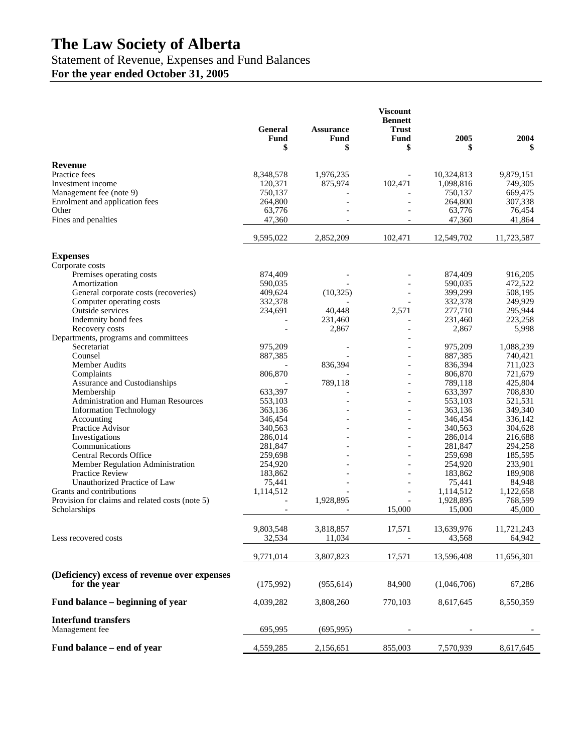# Statement of Revenue, Expenses and Fund Balances

**For the year ended October 31, 2005** 

|                                                                  | <b>General</b>           | <b>Assurance</b>  | <b>Viscount</b><br><b>Bennett</b><br><b>Trust</b> |                  |                  |
|------------------------------------------------------------------|--------------------------|-------------------|---------------------------------------------------|------------------|------------------|
|                                                                  | Fund<br>\$               | Fund<br>\$        | Fund<br>\$                                        | 2005<br>\$       | 2004<br>\$       |
| Revenue                                                          |                          |                   |                                                   |                  |                  |
| Practice fees                                                    | 8,348,578                | 1,976,235         |                                                   | 10,324,813       | 9,879,151        |
| Investment income                                                | 120,371                  | 875,974           | 102,471                                           | 1,098,816        | 749,305          |
| Management fee (note 9)                                          | 750,137                  |                   |                                                   | 750,137          | 669,475          |
| Enrolment and application fees                                   | 264,800                  |                   |                                                   | 264,800          | 307,338          |
| Other                                                            | 63,776                   |                   |                                                   | 63,776           | 76,454           |
| Fines and penalties                                              | 47,360                   |                   | $\overline{\phantom{a}}$                          | 47,360           | 41,864           |
|                                                                  | 9,595,022                | 2,852,209         | 102,471                                           | 12,549,702       | 11,723,587       |
| <b>Expenses</b>                                                  |                          |                   |                                                   |                  |                  |
| Corporate costs                                                  |                          |                   |                                                   |                  |                  |
| Premises operating costs                                         | 874,409                  |                   |                                                   | 874,409          | 916,205          |
| Amortization                                                     | 590,035                  |                   |                                                   | 590,035          | 472,522          |
| General corporate costs (recoveries)<br>Computer operating costs | 409,624                  | (10, 325)         |                                                   | 399,299          | 508,195          |
|                                                                  | 332,378                  |                   |                                                   | 332,378          | 249,929          |
| Outside services                                                 | 234,691                  | 40,448<br>231,460 | 2,571                                             | 277,710          | 295,944          |
| Indemnity bond fees                                              |                          | 2,867             | $\overline{\phantom{a}}$                          | 231,460<br>2,867 | 223,258<br>5,998 |
| Recovery costs<br>Departments, programs and committees           |                          |                   |                                                   |                  |                  |
| Secretariat                                                      | 975,209                  |                   |                                                   | 975,209          | 1,088,239        |
| Counsel                                                          | 887,385                  |                   | $\overline{\phantom{a}}$                          | 887,385          | 740,421          |
| Member Audits                                                    |                          | 836,394           |                                                   | 836,394          | 711,023          |
| Complaints                                                       | 806,870                  |                   |                                                   | 806,870          | 721,679          |
| Assurance and Custodianships                                     |                          | 789,118           | $\overline{\phantom{a}}$                          | 789,118          | 425,804          |
| Membership                                                       | 633,397                  |                   | $\overline{a}$                                    | 633,397          | 708,830          |
| Administration and Human Resources                               | 553,103                  |                   | $\overline{a}$                                    | 553,103          | 521,531          |
| <b>Information Technology</b>                                    | 363,136                  |                   | $\overline{a}$                                    | 363,136          | 349,340          |
| Accounting                                                       | 346,454                  |                   |                                                   | 346,454          | 336,142          |
| Practice Advisor                                                 | 340,563                  |                   |                                                   | 340,563          | 304,628          |
| Investigations                                                   | 286,014                  |                   | $\overline{a}$                                    | 286,014          | 216,688          |
| Communications                                                   | 281,847                  |                   |                                                   | 281,847          | 294,258          |
| Central Records Office                                           | 259,698                  |                   |                                                   | 259,698          | 185,595          |
| Member Regulation Administration                                 | 254,920                  |                   |                                                   | 254,920          | 233,901          |
| <b>Practice Review</b>                                           | 183,862                  |                   |                                                   | 183,862          | 189,908          |
| Unauthorized Practice of Law                                     | 75,441                   |                   |                                                   | 75,441           | 84,948           |
| Grants and contributions                                         | 1,114,512                |                   | $\overline{\phantom{a}}$                          | 1,114,512        | 1,122,658        |
| Provision for claims and related costs (note 5)                  |                          | 1,928,895         |                                                   | 1,928,895        | 768,599          |
| Scholarships                                                     | $\overline{\phantom{a}}$ |                   | 15,000                                            | 15,000           | 45,000           |
|                                                                  | 9,803,548                | 3,818,857         | 17,571                                            | 13,639,976       | 11,721,243       |
| Less recovered costs                                             | 32,534                   | 11,034            | $\overline{\phantom{a}}$                          | 43,568           | 64,942           |
|                                                                  | 9,771,014                | 3,807,823         | 17,571                                            | 13,596,408       | 11,656,301       |
|                                                                  |                          |                   |                                                   |                  |                  |
| (Deficiency) excess of revenue over expenses<br>for the year     | (175,992)                | (955, 614)        | 84,900                                            | (1,046,706)      | 67,286           |
| Fund balance – beginning of year                                 | 4,039,282                | 3,808,260         | 770,103                                           | 8,617,645        | 8,550,359        |
|                                                                  |                          |                   |                                                   |                  |                  |
| <b>Interfund transfers</b><br>Management fee                     | 695,995                  | (695, 995)        |                                                   |                  |                  |
| Fund balance - end of year                                       | 4,559,285                | 2,156,651         | 855,003                                           | 7,570,939        | 8,617,645        |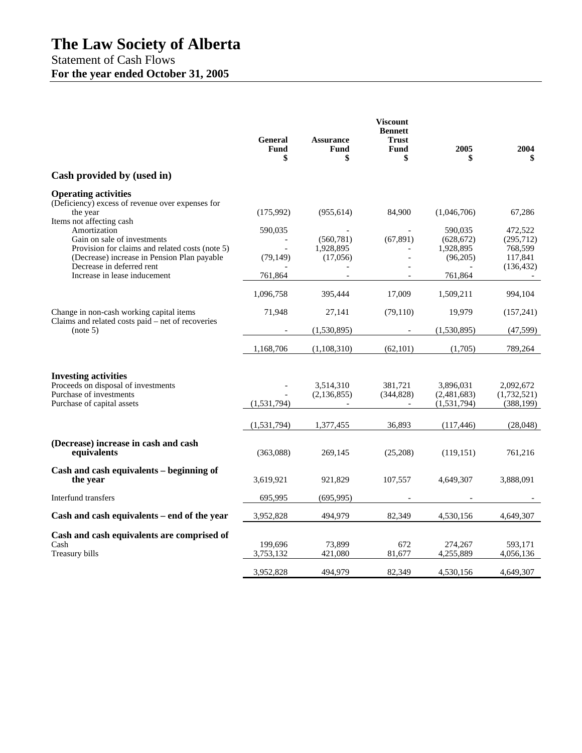# Statement of Cash Flows **For the year ended October 31, 2005**

|                                                                                                                                                                                                                                        | General<br>Fund<br>\$           | <b>Assurance</b><br>Fund<br>\$      | <b>Viscount</b><br><b>Bennett</b><br><b>Trust</b><br><b>Fund</b><br>\$ | 2005<br>\$                                                | 2004<br>\$                                               |
|----------------------------------------------------------------------------------------------------------------------------------------------------------------------------------------------------------------------------------------|---------------------------------|-------------------------------------|------------------------------------------------------------------------|-----------------------------------------------------------|----------------------------------------------------------|
| Cash provided by (used in)                                                                                                                                                                                                             |                                 |                                     |                                                                        |                                                           |                                                          |
| <b>Operating activities</b><br>(Deficiency) excess of revenue over expenses for<br>the year                                                                                                                                            | (175,992)                       | (955, 614)                          | 84,900                                                                 | (1,046,706)                                               | 67,286                                                   |
| Items not affecting cash<br>Amortization<br>Gain on sale of investments<br>Provision for claims and related costs (note 5)<br>(Decrease) increase in Pension Plan payable<br>Decrease in deferred rent<br>Increase in lease inducement | 590,035<br>(79, 149)<br>761,864 | (560, 781)<br>1,928,895<br>(17,056) | (67, 891)                                                              | 590,035<br>(628, 672)<br>1,928,895<br>(96,205)<br>761,864 | 472,522<br>(295,712)<br>768,599<br>117,841<br>(136, 432) |
|                                                                                                                                                                                                                                        |                                 |                                     |                                                                        |                                                           |                                                          |
|                                                                                                                                                                                                                                        | 1,096,758                       | 395.444                             | 17,009                                                                 | 1,509,211                                                 | 994,104                                                  |
| Change in non-cash working capital items<br>Claims and related costs paid – net of recoveries                                                                                                                                          | 71,948                          | 27,141                              | (79, 110)                                                              | 19,979                                                    | (157, 241)                                               |
| (note 5)                                                                                                                                                                                                                               |                                 | (1,530,895)                         |                                                                        | (1,530,895)                                               | (47, 599)                                                |
|                                                                                                                                                                                                                                        | 1,168,706                       | (1,108,310)                         | (62, 101)                                                              | (1,705)                                                   | 789,264                                                  |
| <b>Investing activities</b><br>Proceeds on disposal of investments<br>Purchase of investments<br>Purchase of capital assets                                                                                                            | (1,531,794)                     | 3,514,310<br>(2, 136, 855)          | 381,721<br>(344, 828)<br>$\blacksquare$                                | 3,896,031<br>(2,481,683)<br>(1, 531, 794)                 | 2,092,672<br>(1,732,521)<br>(388, 199)                   |
|                                                                                                                                                                                                                                        | (1, 531, 794)                   | 1,377,455                           | 36,893                                                                 | (117, 446)                                                | (28, 048)                                                |
| (Decrease) increase in cash and cash<br>equivalents                                                                                                                                                                                    | (363,088)                       | 269,145                             | (25,208)                                                               | (119, 151)                                                | 761,216                                                  |
| Cash and cash equivalents – beginning of<br>the year                                                                                                                                                                                   | 3,619,921                       | 921,829                             | 107,557                                                                | 4,649,307                                                 | 3,888,091                                                |
| Interfund transfers                                                                                                                                                                                                                    | 695,995                         | (695, 995)                          |                                                                        |                                                           |                                                          |
| Cash and cash equivalents - end of the year                                                                                                                                                                                            | 3,952,828                       | 494,979                             | 82,349                                                                 | 4,530,156                                                 | 4,649,307                                                |
| Cash and cash equivalents are comprised of<br>Cash<br>Treasury bills                                                                                                                                                                   | 199.696<br>3,753,132            | 73.899<br>421,080                   | 672<br>81,677                                                          | 274,267<br>4,255,889                                      | 593.171<br>4,056,136                                     |
|                                                                                                                                                                                                                                        | 3,952,828                       | 494,979                             | 82,349                                                                 | 4,530,156                                                 | 4,649,307                                                |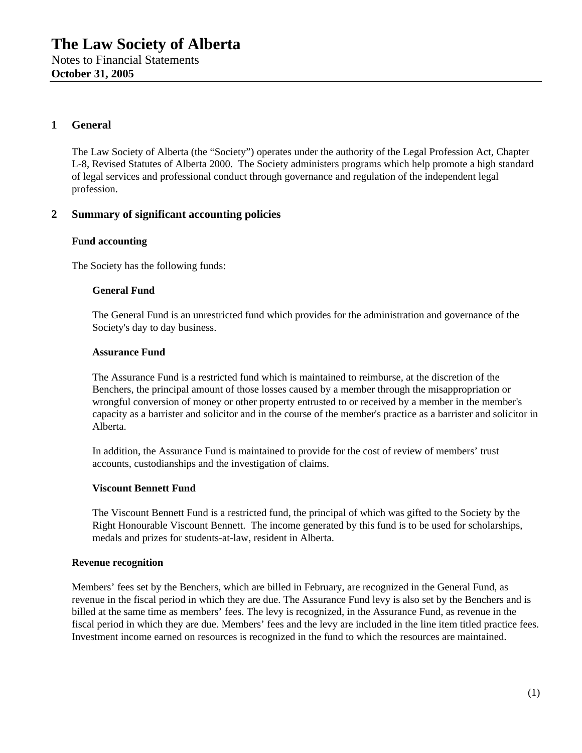# **1 General**

The Law Society of Alberta (the "Society") operates under the authority of the Legal Profession Act, Chapter L-8, Revised Statutes of Alberta 2000. The Society administers programs which help promote a high standard of legal services and professional conduct through governance and regulation of the independent legal profession.

## **2 Summary of significant accounting policies**

#### **Fund accounting**

The Society has the following funds:

#### **General Fund**

The General Fund is an unrestricted fund which provides for the administration and governance of the Society's day to day business.

#### **Assurance Fund**

The Assurance Fund is a restricted fund which is maintained to reimburse, at the discretion of the Benchers, the principal amount of those losses caused by a member through the misappropriation or wrongful conversion of money or other property entrusted to or received by a member in the member's capacity as a barrister and solicitor and in the course of the member's practice as a barrister and solicitor in Alberta.

In addition, the Assurance Fund is maintained to provide for the cost of review of members' trust accounts, custodianships and the investigation of claims.

#### **Viscount Bennett Fund**

The Viscount Bennett Fund is a restricted fund, the principal of which was gifted to the Society by the Right Honourable Viscount Bennett. The income generated by this fund is to be used for scholarships, medals and prizes for students-at-law, resident in Alberta.

#### **Revenue recognition**

Members' fees set by the Benchers, which are billed in February, are recognized in the General Fund, as revenue in the fiscal period in which they are due. The Assurance Fund levy is also set by the Benchers and is billed at the same time as members' fees. The levy is recognized, in the Assurance Fund, as revenue in the fiscal period in which they are due. Members' fees and the levy are included in the line item titled practice fees. Investment income earned on resources is recognized in the fund to which the resources are maintained.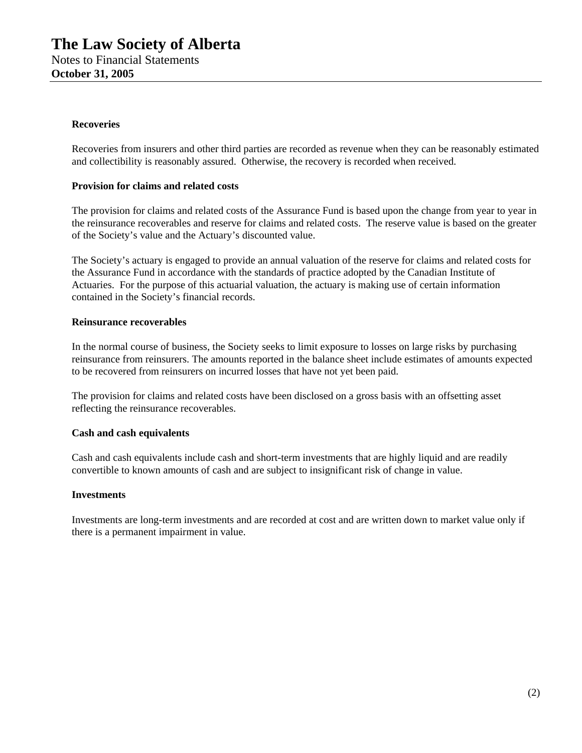#### **Recoveries**

Recoveries from insurers and other third parties are recorded as revenue when they can be reasonably estimated and collectibility is reasonably assured. Otherwise, the recovery is recorded when received.

#### **Provision for claims and related costs**

The provision for claims and related costs of the Assurance Fund is based upon the change from year to year in the reinsurance recoverables and reserve for claims and related costs. The reserve value is based on the greater of the Society's value and the Actuary's discounted value.

The Society's actuary is engaged to provide an annual valuation of the reserve for claims and related costs for the Assurance Fund in accordance with the standards of practice adopted by the Canadian Institute of Actuaries. For the purpose of this actuarial valuation, the actuary is making use of certain information contained in the Society's financial records.

#### **Reinsurance recoverables**

In the normal course of business, the Society seeks to limit exposure to losses on large risks by purchasing reinsurance from reinsurers. The amounts reported in the balance sheet include estimates of amounts expected to be recovered from reinsurers on incurred losses that have not yet been paid.

The provision for claims and related costs have been disclosed on a gross basis with an offsetting asset reflecting the reinsurance recoverables.

#### **Cash and cash equivalents**

Cash and cash equivalents include cash and short-term investments that are highly liquid and are readily convertible to known amounts of cash and are subject to insignificant risk of change in value.

#### **Investments**

Investments are long-term investments and are recorded at cost and are written down to market value only if there is a permanent impairment in value.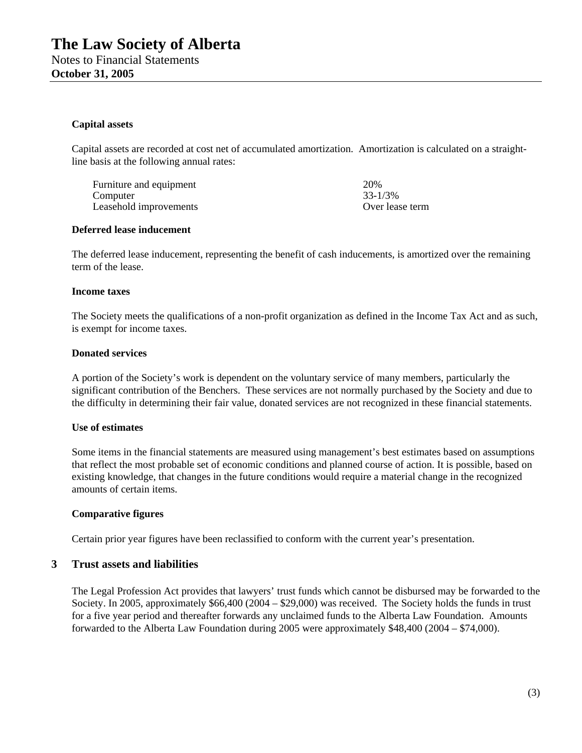#### **Capital assets**

Capital assets are recorded at cost net of accumulated amortization. Amortization is calculated on a straightline basis at the following annual rates:

Furniture and equipment 20% Computer 33-1/3% Leasehold improvements Over lease term

#### **Deferred lease inducement**

The deferred lease inducement, representing the benefit of cash inducements, is amortized over the remaining term of the lease.

#### **Income taxes**

The Society meets the qualifications of a non-profit organization as defined in the Income Tax Act and as such, is exempt for income taxes.

#### **Donated services**

A portion of the Society's work is dependent on the voluntary service of many members, particularly the significant contribution of the Benchers. These services are not normally purchased by the Society and due to the difficulty in determining their fair value, donated services are not recognized in these financial statements.

#### **Use of estimates**

Some items in the financial statements are measured using management's best estimates based on assumptions that reflect the most probable set of economic conditions and planned course of action. It is possible, based on existing knowledge, that changes in the future conditions would require a material change in the recognized amounts of certain items.

#### **Comparative figures**

Certain prior year figures have been reclassified to conform with the current year's presentation.

## **3 Trust assets and liabilities**

The Legal Profession Act provides that lawyers' trust funds which cannot be disbursed may be forwarded to the Society. In 2005, approximately \$66,400 (2004 – \$29,000) was received. The Society holds the funds in trust for a five year period and thereafter forwards any unclaimed funds to the Alberta Law Foundation. Amounts forwarded to the Alberta Law Foundation during 2005 were approximately \$48,400 (2004 – \$74,000).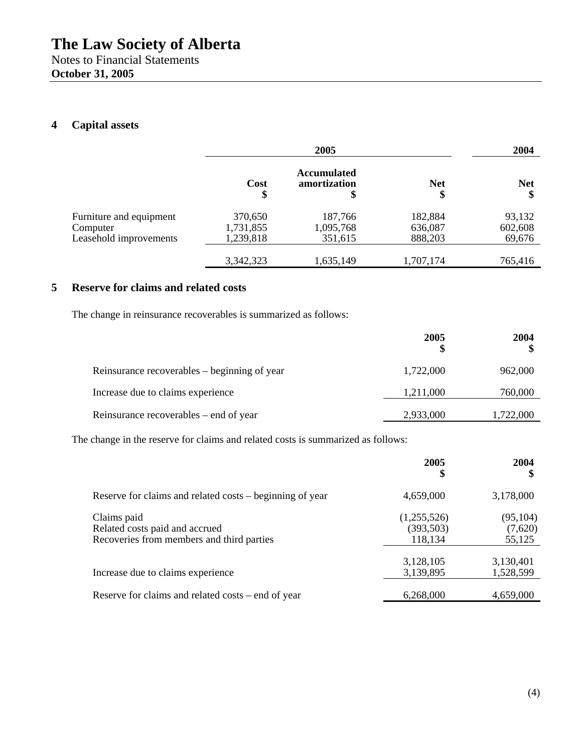# **4 Capital assets**

|                                    |                        | 2005                                     |                    | 2004              |
|------------------------------------|------------------------|------------------------------------------|--------------------|-------------------|
|                                    | Cost<br>\$             | <b>Accumulated</b><br>amortization<br>\$ | <b>Net</b><br>\$   | <b>Net</b><br>\$  |
| Furniture and equipment            | 370,650                | 187,766                                  | 182,884            | 93,132            |
| Computer<br>Leasehold improvements | 1,731,855<br>1,239,818 | 1,095,768<br>351,615                     | 636,087<br>888,203 | 602,608<br>69,676 |
|                                    | 3,342,323              | 1,635,149                                | 1,707,174          | 765,416           |

# **5 Reserve for claims and related costs**

The change in reinsurance recoverables is summarized as follows:

|                                              | 2005      | 2004      |
|----------------------------------------------|-----------|-----------|
| Reinsurance recoverables – beginning of year | 1,722,000 | 962,000   |
| Increase due to claims experience            | 1,211,000 | 760,000   |
| Reinsurance recoverables – end of year       | 2,933,000 | 1,722,000 |

The change in the reserve for claims and related costs is summarized as follows:

|                                                                                            | 2005<br>\$                           | 2004<br>\$                     |
|--------------------------------------------------------------------------------------------|--------------------------------------|--------------------------------|
| Reserve for claims and related costs – beginning of year                                   | 4,659,000                            | 3,178,000                      |
| Claims paid<br>Related costs paid and accrued<br>Recoveries from members and third parties | (1,255,526)<br>(393, 503)<br>118,134 | (95, 104)<br>(7,620)<br>55,125 |
| Increase due to claims experience                                                          | 3,128,105<br>3,139,895               | 3,130,401<br>1,528,599         |
| Reserve for claims and related costs – end of year                                         | 6,268,000                            | 4,659,000                      |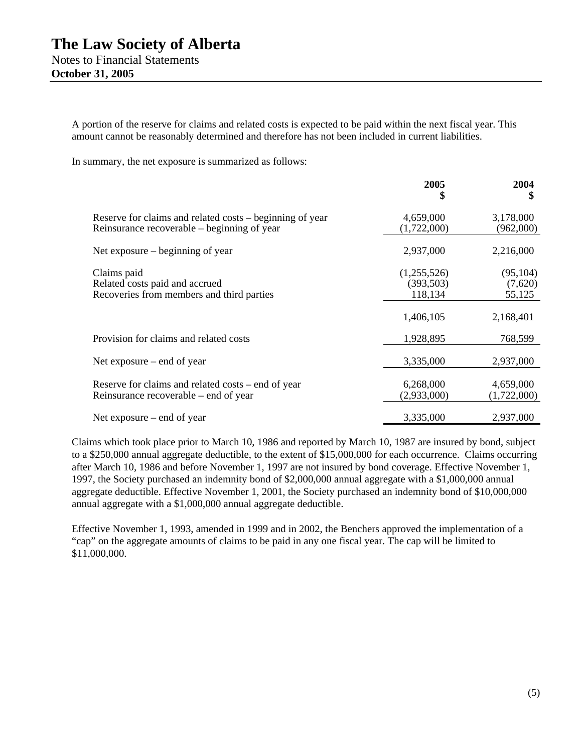A portion of the reserve for claims and related costs is expected to be paid within the next fiscal year. This amount cannot be reasonably determined and therefore has not been included in current liabilities.

In summary, the net exposure is summarized as follows:

|                                                                                                         | 2005<br>\$                           | 2004<br>\$                     |
|---------------------------------------------------------------------------------------------------------|--------------------------------------|--------------------------------|
| Reserve for claims and related costs – beginning of year<br>Reinsurance recoverable – beginning of year | 4,659,000<br>(1,722,000)             | 3,178,000<br>(962,000)         |
| Net exposure $-$ beginning of year                                                                      | 2,937,000                            | 2,216,000                      |
| Claims paid<br>Related costs paid and accrued<br>Recoveries from members and third parties              | (1,255,526)<br>(393, 503)<br>118,134 | (95, 104)<br>(7,620)<br>55,125 |
|                                                                                                         | 1,406,105                            | 2,168,401                      |
| Provision for claims and related costs                                                                  | 1,928,895                            | 768,599                        |
| Net exposure $-$ end of year                                                                            | 3,335,000                            | 2,937,000                      |
| Reserve for claims and related costs – end of year<br>Reinsurance recoverable – end of year             | 6,268,000<br>(2,933,000)             | 4,659,000<br>(1,722,000)       |
| Net exposure $-$ end of year                                                                            | 3,335,000                            | 2,937,000                      |

Claims which took place prior to March 10, 1986 and reported by March 10, 1987 are insured by bond, subject to a \$250,000 annual aggregate deductible, to the extent of \$15,000,000 for each occurrence. Claims occurring after March 10, 1986 and before November 1, 1997 are not insured by bond coverage. Effective November 1, 1997, the Society purchased an indemnity bond of \$2,000,000 annual aggregate with a \$1,000,000 annual aggregate deductible. Effective November 1, 2001, the Society purchased an indemnity bond of \$10,000,000 annual aggregate with a \$1,000,000 annual aggregate deductible.

Effective November 1, 1993, amended in 1999 and in 2002, the Benchers approved the implementation of a "cap" on the aggregate amounts of claims to be paid in any one fiscal year. The cap will be limited to \$11,000,000.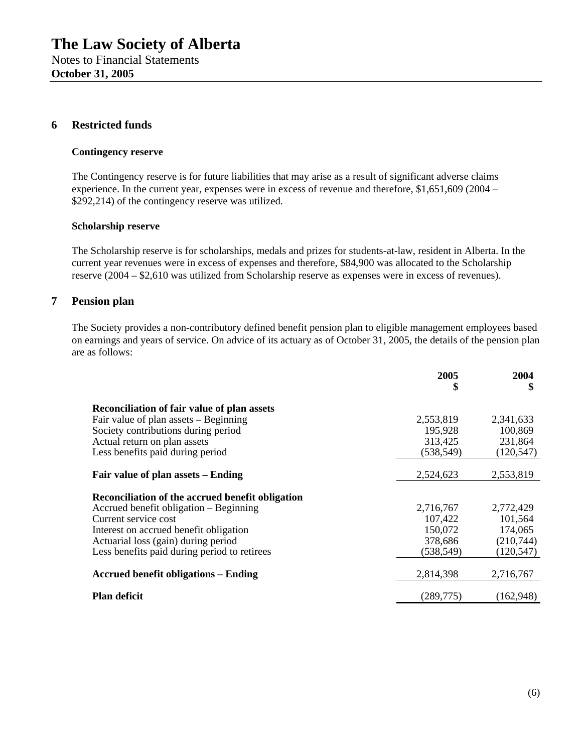#### **6 Restricted funds**

#### **Contingency reserve**

The Contingency reserve is for future liabilities that may arise as a result of significant adverse claims experience. In the current year, expenses were in excess of revenue and therefore, \$1,651,609 (2004 – \$292,214) of the contingency reserve was utilized.

#### **Scholarship reserve**

The Scholarship reserve is for scholarships, medals and prizes for students-at-law, resident in Alberta. In the current year revenues were in excess of expenses and therefore, \$84,900 was allocated to the Scholarship reserve (2004 – \$2,610 was utilized from Scholarship reserve as expenses were in excess of revenues).

### **7 Pension plan**

The Society provides a non-contributory defined benefit pension plan to eligible management employees based on earnings and years of service. On advice of its actuary as of October 31, 2005, the details of the pension plan are as follows:

|                                                  | 2005<br>\$ | 2004<br>\$ |
|--------------------------------------------------|------------|------------|
| Reconciliation of fair value of plan assets      |            |            |
| Fair value of plan assets $-$ Beginning          | 2,553,819  | 2,341,633  |
| Society contributions during period              | 195,928    | 100,869    |
| Actual return on plan assets                     | 313,425    | 231,864    |
| Less benefits paid during period                 | (538, 549) | (120, 547) |
|                                                  |            |            |
| Fair value of plan assets – Ending               | 2,524,623  | 2,553,819  |
| Reconciliation of the accrued benefit obligation |            |            |
| Accrued benefit obligation – Beginning           | 2,716,767  | 2,772,429  |
| Current service cost                             | 107,422    | 101,564    |
| Interest on accrued benefit obligation           | 150,072    | 174,065    |
| Actuarial loss (gain) during period              | 378,686    | (210,744)  |
| Less benefits paid during period to retirees     | (538, 549) | (120, 547) |
| <b>Accrued benefit obligations – Ending</b>      | 2,814,398  | 2,716,767  |
| <b>Plan deficit</b>                              | (289, 775) | (162, 948) |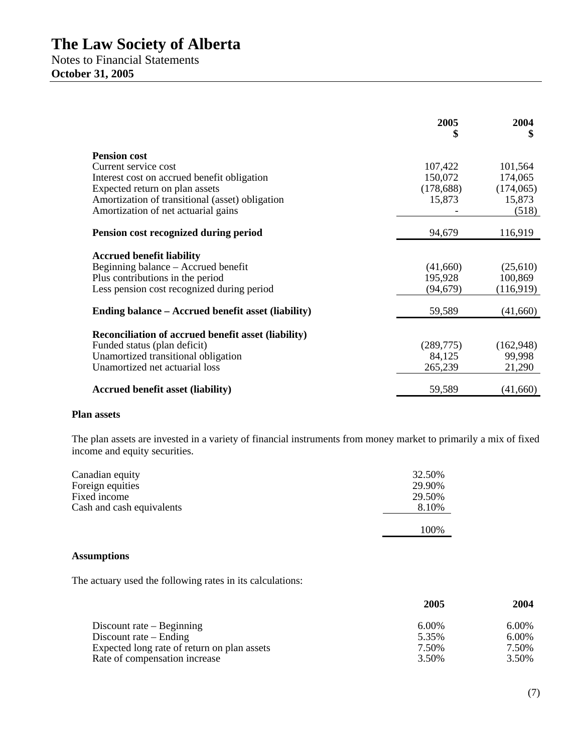Notes to Financial Statements **October 31, 2005** 

|                                                            | 2005<br>\$ | 2004<br>\$ |
|------------------------------------------------------------|------------|------------|
| <b>Pension cost</b>                                        |            |            |
| Current service cost                                       | 107,422    | 101,564    |
| Interest cost on accrued benefit obligation                | 150,072    | 174,065    |
| Expected return on plan assets                             | (178, 688) | (174,065)  |
| Amortization of transitional (asset) obligation            | 15,873     | 15,873     |
| Amortization of net actuarial gains                        |            | (518)      |
| Pension cost recognized during period                      | 94,679     | 116,919    |
| <b>Accrued benefit liability</b>                           |            |            |
| Beginning balance – Accrued benefit                        | (41,660)   | (25,610)   |
| Plus contributions in the period                           | 195,928    | 100,869    |
| Less pension cost recognized during period                 | (94, 679)  | (116,919)  |
| Ending balance – Accrued benefit asset (liability)         | 59,589     | (41,660)   |
| <b>Reconciliation of accrued benefit asset (liability)</b> |            |            |
| Funded status (plan deficit)                               | (289,775)  | (162, 948) |
| Unamortized transitional obligation                        | 84,125     | 99,998     |
| Unamortized net actuarial loss                             | 265,239    | 21,290     |
| <b>Accrued benefit asset (liability)</b>                   | 59,589     | (41,660)   |

#### **Plan assets**

The plan assets are invested in a variety of financial instruments from money market to primarily a mix of fixed income and equity securities.

| Canadian equity           | 32.50% |
|---------------------------|--------|
| Foreign equities          | 29.90% |
| Fixed income              | 29.50% |
| Cash and cash equivalents | 8.10%  |
|                           | 100\%  |

## **Assumptions**

The actuary used the following rates in its calculations:

|                                             | 2005  | 2004  |
|---------------------------------------------|-------|-------|
| Discount rate $-$ Beginning                 | 6.00% | 6.00% |
| Discount rate $-$ Ending                    | 5.35% | 6.00% |
| Expected long rate of return on plan assets | 7.50% | 7.50% |
| Rate of compensation increase               | 3.50% | 3.50% |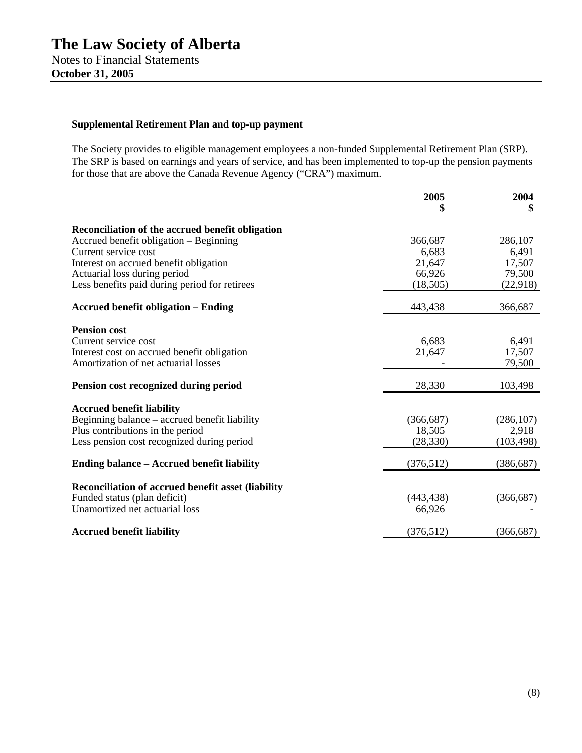# **Supplemental Retirement Plan and top-up payment**

The Society provides to eligible management employees a non-funded Supplemental Retirement Plan (SRP). The SRP is based on earnings and years of service, and has been implemented to top-up the pension payments for those that are above the Canada Revenue Agency ("CRA") maximum.

|                                                                | 2005<br>\$ | 2004<br>5  |
|----------------------------------------------------------------|------------|------------|
|                                                                |            |            |
| Reconciliation of the accrued benefit obligation               |            |            |
| Accrued benefit obligation – Beginning                         | 366,687    | 286,107    |
| Current service cost                                           | 6,683      | 6,491      |
| Interest on accrued benefit obligation                         | 21,647     | 17,507     |
| Actuarial loss during period                                   | 66,926     | 79,500     |
| Less benefits paid during period for retirees                  | (18, 505)  | (22, 918)  |
| <b>Accrued benefit obligation – Ending</b>                     | 443,438    | 366,687    |
| <b>Pension cost</b>                                            |            |            |
| Current service cost                                           | 6,683      | 6,491      |
| Interest cost on accrued benefit obligation                    | 21,647     | 17,507     |
| Amortization of net actuarial losses                           |            | 79,500     |
| Pension cost recognized during period                          | 28,330     | 103,498    |
| <b>Accrued benefit liability</b>                               |            |            |
| Beginning balance - accrued benefit liability                  | (366, 687) | (286, 107) |
| Plus contributions in the period                               | 18,505     | 2,918      |
| Less pension cost recognized during period                     | (28, 330)  | (103, 498) |
| <b>Ending balance – Accrued benefit liability</b>              | (376, 512) | (386, 687) |
|                                                                |            |            |
| <b>Reconciliation of accrued benefit asset (liability</b>      | (443, 438) |            |
| Funded status (plan deficit)<br>Unamortized net actuarial loss | 66,926     | (366, 687) |
|                                                                |            |            |
| <b>Accrued benefit liability</b>                               | (376, 512) | (366, 687) |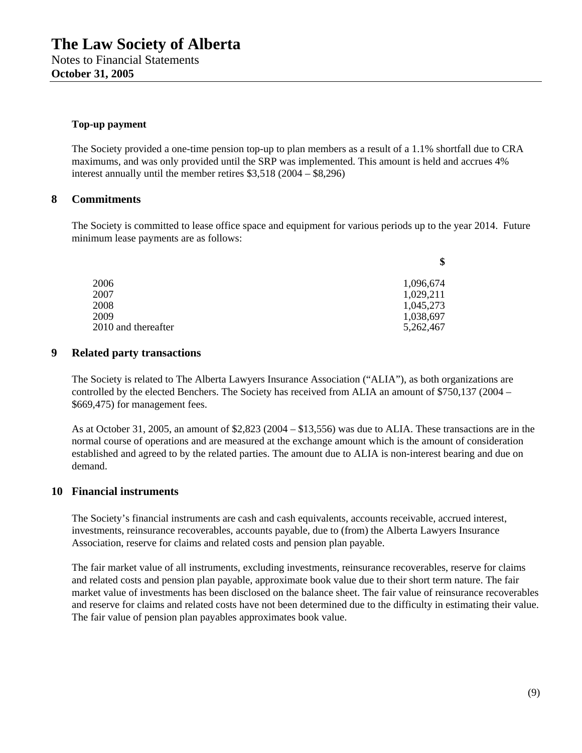#### **Top-up payment**

The Society provided a one-time pension top-up to plan members as a result of a 1.1% shortfall due to CRA maximums, and was only provided until the SRP was implemented. This amount is held and accrues 4% interest annually until the member retires \$3,518 (2004 – \$8,296)

### **8 Commitments**

The Society is committed to lease office space and equipment for various periods up to the year 2014. Future minimum lease payments are as follows:

| 2006                | 1,096,674 |
|---------------------|-----------|
| 2007                | 1,029,211 |
| 2008                | 1,045,273 |
| 2009                | 1,038,697 |
| 2010 and thereafter | 5,262,467 |

## **9 Related party transactions**

The Society is related to The Alberta Lawyers Insurance Association ("ALIA"), as both organizations are controlled by the elected Benchers. The Society has received from ALIA an amount of \$750,137 (2004 – \$669,475) for management fees.

As at October 31, 2005, an amount of \$2,823 (2004 – \$13,556) was due to ALIA. These transactions are in the normal course of operations and are measured at the exchange amount which is the amount of consideration established and agreed to by the related parties. The amount due to ALIA is non-interest bearing and due on demand.

### **10 Financial instruments**

The Society's financial instruments are cash and cash equivalents, accounts receivable, accrued interest, investments, reinsurance recoverables, accounts payable, due to (from) the Alberta Lawyers Insurance Association, reserve for claims and related costs and pension plan payable.

The fair market value of all instruments, excluding investments, reinsurance recoverables, reserve for claims and related costs and pension plan payable, approximate book value due to their short term nature. The fair market value of investments has been disclosed on the balance sheet. The fair value of reinsurance recoverables and reserve for claims and related costs have not been determined due to the difficulty in estimating their value. The fair value of pension plan payables approximates book value.